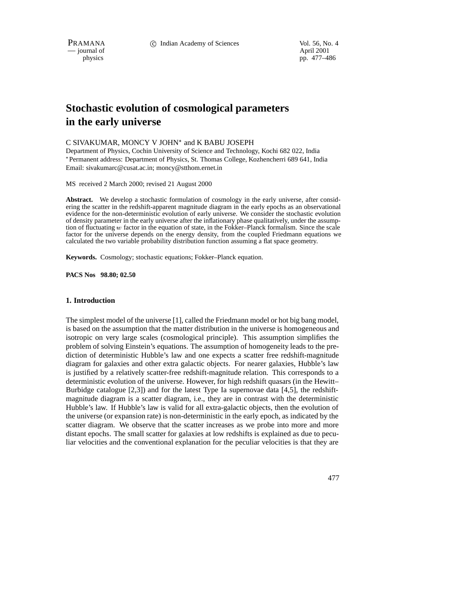$-$  journal of

physics pp. 477–486

# **Stochastic evolution of cosmological parameters in the early universe**

## C SIVAKUMAR, MONCY V JOHN<sup>\*</sup> and K BABU JOSEPH

Department of Physics, Cochin University of Science and Technology, Kochi 682 022, India Permanent address: Department of Physics, St. Thomas College, Kozhencherri 689 641, India Email: sivakumarc@cusat.ac.in; moncy@stthom.ernet.in

MS received 2 March 2000; revised 21 August 2000

**Abstract.** We develop a stochastic formulation of cosmology in the early universe, after considering the scatter in the redshift-apparent magnitude diagram in the early epochs as an observational evidence for the non-deterministic evolution of early universe. We consider the stochastic evolution of density parameter in the early universe after the inflationary phase qualitatively, under the assumption of fluctuating <sup>w</sup> factor in the equation of state, in the Fokker–Planck formalism. Since the scale factor for the universe depends on the energy density, from the coupled Friedmann equations we calculated the two variable probability distribution function assuming a flat space geometry.

**Keywords.** Cosmology; stochastic equations; Fokker–Planck equation.

**PACS Nos 98.80; 02.50**

## **1. Introduction**

The simplest model of the universe [1], called the Friedmann model or hot big bang model, is based on the assumption that the matter distribution in the universe is homogeneous and isotropic on very large scales (cosmological principle). This assumption simplifies the problem of solving Einstein's equations. The assumption of homogeneity leads to the prediction of deterministic Hubble's law and one expects a scatter free redshift-magnitude diagram for galaxies and other extra galactic objects. For nearer galaxies, Hubble's law is justified by a relatively scatter-free redshift-magnitude relation. This corresponds to a deterministic evolution of the universe. However, for high redshift quasars (in the Hewitt– Burbidge catalogue [2,3]) and for the latest Type Ia supernovae data [4,5], the redshiftmagnitude diagram is a scatter diagram, i.e., they are in contrast with the deterministic Hubble's law. If Hubble's law is valid for all extra-galactic objects, then the evolution of the universe (or expansion rate) is non-deterministic in the early epoch, as indicated by the scatter diagram. We observe that the scatter increases as we probe into more and more distant epochs. The small scatter for galaxies at low redshifts is explained as due to peculiar velocities and the conventional explanation for the peculiar velocities is that they are

477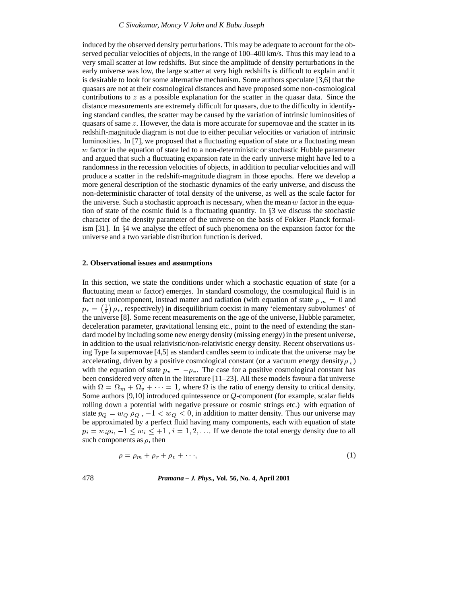### *C Sivakumar, Moncy V John and K Babu Joseph*

induced by the observed density perturbations. This may be adequate to account for the observed peculiar velocities of objects, in the range of 100–400 km/s. Thus this may lead to a very small scatter at low redshifts. But since the amplitude of density perturbations in the early universe was low, the large scatter at very high redshifts is difficult to explain and it is desirable to look for some alternative mechanism. Some authors speculate [3,6] that the quasars are not at their cosmological distances and have proposed some non-cosmological contributions to  $z$  as a possible explanation for the scatter in the quasar data. Since the distance measurements are extremely difficult for quasars, due to the difficulty in identifying standard candles, the scatter may be caused by the variation of intrinsic luminosities of quasars of same  $z$ . However, the data is more accurate for supernovae and the scatter in its redshift-magnitude diagram is not due to either peculiar velocities or variation of intrinsic luminosities. In [7], we proposed that a fluctuating equation of state or a fluctuating mean  $w$  factor in the equation of state led to a non-deterministic or stochastic Hubble parameter and argued that such a fluctuating expansion rate in the early universe might have led to a randomness in the recession velocities of objects, in addition to peculiar velocities and will produce a scatter in the redshift-magnitude diagram in those epochs. Here we develop a more general description of the stochastic dynamics of the early universe, and discuss the non-deterministic character of total density of the universe, as well as the scale factor for the universe. Such a stochastic approach is necessary, when the mean  $w$  factor in the equation of state of the cosmic fluid is a fluctuating quantity. In  $\S 3$  we discuss the stochastic character of the density parameter of the universe on the basis of Fokker–Planck formalism [31]. In  $\S 4$  we analyse the effect of such phenomena on the expansion factor for the universe and a two variable distribution function is derived.

## **2. Observational issues and assumptions**

In this section, we state the conditions under which a stochastic equation of state (or a fluctuating mean  $w$  factor) emerges. In standard cosmology, the cosmological fluid is in fact not unicomponent, instead matter and radiation (with equation of state  $p_m = 0$  and pr <sup>=</sup>  $\left(\frac{1}{3}\right)\rho_r$ , respectively) in disequilibrium coexist in many 'elementary subvolumes' of the universe [8]. Some recent measurements on the age of the universe, Hubble parameter, deceleration parameter, gravitational lensing etc., point to the need of extending the standard model by including some new energy density (missing energy) in the present universe, in addition to the usual relativistic/non-relativistic energy density. Recent observations using Type Ia supernovae [4,5] as standard candles seem to indicate that the universe may be accelerating, driven by a positive cosmological constant (or a vacuum energy density  $\rho_v$ ) with the equation of state  $p_v = -\rho_v$ . The case for a positive cosmological constant has been considered very often in the literature [11–23]. All these models favour a flat universe with  $\Omega = \Omega_m + \Omega_v + \cdots = 1$ , where  $\Omega$  is the ratio of energy density to critical density. Some authors [9,10] introduced quintessence or Q-component (for example, scalar fields rolling down a potential with negative pressure or cosmic strings etc.) with equation of state  $p_Q = w_Q \rho_Q$ ,  $-1 < w_Q \leq 0$ , in addition to matter density. Thus our universe may be approximated by a perfect fluid having many components, each with equation of state  $p_i = w_i \rho_i, -1 \le w_i \le +1$ ,  $i = 1, 2, \ldots$  If we denote the total energy density due to all such components as  $\rho$ , then

$$
\rho = \rho_m + \rho_r + \rho_v + \cdots,\tag{1}
$$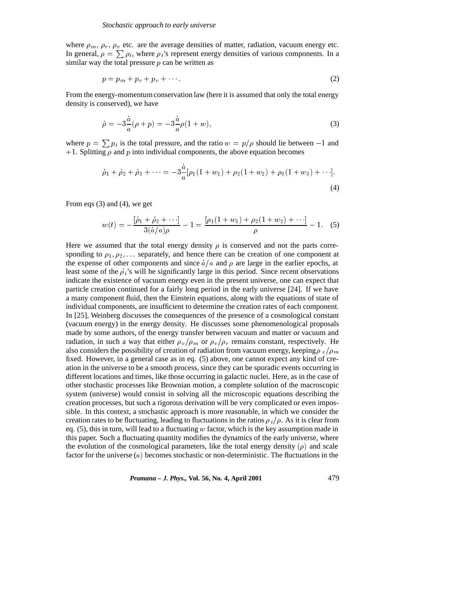where  $\rho_m$ ,  $\rho_r$ ,  $\rho_v$  etc. are the average densities of matter, radiation, vacuum energy etc. In general,  $\rho = \sum \rho_i$ , where  $\rho_i$ 's represent energy densities of various components. In a similar way the total pressure  $p$  can be written as

$$
p = p_m + p_r + p_v + \cdots \tag{2}
$$

From the energy-momentum conservation law (here it is assumed that only the total energy density is conserved), we have

$$
\dot{\rho} = -3\frac{\dot{a}}{a}(\rho + p) = -3\frac{\dot{a}}{a}\rho(1 + w),\tag{3}
$$

where  $p = \sum p_i$  is the total pressure, and the ratio  $w = p/\rho$  should lie between  $-1$  and +1. Splitting  $\rho$  and  $p$  into individual components, the above equation becomes

$$
\dot{\rho}_1 + \dot{\rho}_2 + \dot{\rho}_3 + \dots = -3\frac{\dot{a}}{a}[\rho_1(1+w_1) + \rho_2(1+w_2) + \rho_3(1+w_3) + \dots].
$$
\n(4)

From eqs (3) and (4), we get

$$
w(t) = -\frac{\left[\dot{\rho}_1 + \dot{\rho}_2 + \cdots\right]}{3(\dot{a}/a)\rho} - 1 = \frac{\left[\rho_1(1+w_1) + \rho_2(1+w_2) + \cdots\right]}{\rho} - 1.
$$
 (5)

Here we assumed that the total energy density  $\rho$  is conserved and not the parts corresponding to  $\rho_1, \rho_2, \ldots$  separately, and hence there can be creation of one component at the expense of other components and since  $\dot{a}/a$  and  $\rho$  are large in the earlier epochs, at least some of the  $\dot{\rho}_i$ 's will be significantly large in this period. Since recent observations indicate the existence of vacuum energy even in the present universe, one can expect that particle creation continued for a fairly long period in the early universe [24]. If we have a many component fluid, then the Einstein equations, along with the equations of state of individual components, are insufficient to determine the creation rates of each component. In [25], Weinberg discusses the consequences of the presence of a cosmological constant (vacuum energy) in the energy density. He discusses some phenomenological proposals made by some authors, of the energy transfer between vacuum and matter or vacuum and radiation, in such a way that either  $\rho_v/\rho_m$  or  $\rho_v/\rho_r$  remains constant, respectively. He also considers the possibility of creation of radiation from vacuum energy, keeping  $\rho_v/\rho_m$ fixed. However, in a general case as in eq. (5) above, one cannot expect any kind of creation in the universe to be a smooth process, since they can be sporadic events occurring in different locations and times, like those occurring in galactic nuclei. Here, as in the case of other stochastic processes like Brownian motion, a complete solution of the macroscopic system (universe) would consist in solving all the microscopic equations describing the creation processes, but such a rigorous derivation will be very complicated or even impossible. In this context, a stochastic approach is more reasonable, in which we consider the creation rates to be fluctuating, leading to fluctuations in the ratios  $\rho_i/\rho$ . As it is clear from eq.  $(5)$ , this in turn, will lead to a fluctuating w factor, which is the key assumption made in this paper. Such a fluctuating quantity modifies the dynamics of the early universe, where the evolution of the cosmological parameters, like the total energy density  $(\rho)$  and scale factor for the universe  $(a)$  becomes stochastic or non-deterministic. The fluctuations in the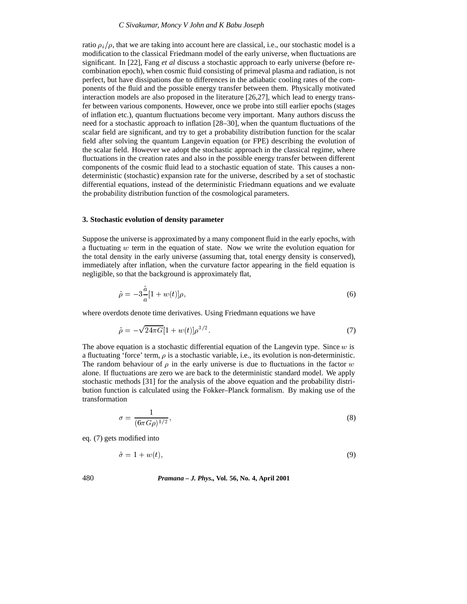### *C Sivakumar, Moncy V John and K Babu Joseph*

ratio  $\rho_i/\rho$ , that we are taking into account here are classical, i.e., our stochastic model is a modification to the classical Friedmann model of the early universe, when fluctuations are significant. In [22], Fang *et al* discuss a stochastic approach to early universe (before recombination epoch), when cosmic fluid consisting of primeval plasma and radiation, is not perfect, but have dissipations due to differences in the adiabatic cooling rates of the components of the fluid and the possible energy transfer between them. Physically motivated interaction models are also proposed in the literature [26,27], which lead to energy transfer between various components. However, once we probe into still earlier epochs (stages of inflation etc.), quantum fluctuations become very important. Many authors discuss the need for a stochastic approach to inflation [28–30], when the quantum fluctuations of the scalar field are significant, and try to get a probability distribution function for the scalar field after solving the quantum Langevin equation (or FPE) describing the evolution of the scalar field. However we adopt the stochastic approach in the classical regime, where fluctuations in the creation rates and also in the possible energy transfer between different components of the cosmic fluid lead to a stochastic equation of state. This causes a nondeterministic (stochastic) expansion rate for the universe, described by a set of stochastic differential equations, instead of the deterministic Friedmann equations and we evaluate the probability distribution function of the cosmological parameters.

## **3. Stochastic evolution of density parameter**

Suppose the universe is approximated by a many component fluid in the early epochs, with a fluctuating  $w$  term in the equation of state. Now we write the evolution equation for the total density in the early universe (assuming that, total energy density is conserved), immediately after inflation, when the curvature factor appearing in the field equation is negligible, so that the background is approximately flat,

$$
\dot{\rho} = -3\frac{a}{a}[1 + w(t)]\rho,\tag{6}
$$

where overdots denote time derivatives. Using Friedmann equations we have

$$
\dot{\rho} = -\sqrt{24\pi G} [1 + w(t)] \rho^{3/2}.
$$
\n(7)

The above equation is a stochastic differential equation of the Langevin type. Since  $w$  is a fluctuating 'force' term,  $\rho$  is a stochastic variable, i.e., its evolution is non-deterministic. The random behaviour of  $\rho$  in the early universe is due to fluctuations in the factor w alone. If fluctuations are zero we are back to the deterministic standard model. We apply stochastic methods [31] for the analysis of the above equation and the probability distribution function is calculated using the Fokker–Planck formalism. By making use of the transformation

$$
\sigma = \frac{1}{(6\pi G\rho)^{1/2}},\tag{8}
$$

eq. (7) gets modified into

$$
\dot{\sigma} = 1 + w(t),\tag{9}
$$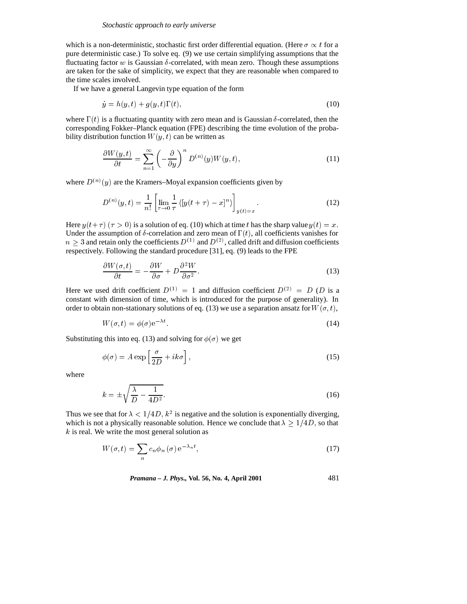which is a non-deterministic, stochastic first order differential equation. (Here  $\sigma \propto t$  for a pure deterministic case.) To solve eq. (9) we use certain simplifying assumptions that the fluctuating factor w is Gaussian  $\delta$ -correlated, with mean zero. Though these assumptions are taken for the sake of simplicity, we expect that they are reasonable when compared to the time scales involved.

If we have a general Langevin type equation of the form

$$
\dot{y} = h(y, t) + g(y, t)\Gamma(t),\tag{10}
$$

where  $\Gamma(t)$  is a fluctuating quantity with zero mean and is Gaussian  $\delta$ -correlated, then the corresponding Fokker–Planck equation (FPE) describing the time evolution of the probability distribution function  $W(y, t)$  can be written as

$$
\frac{\partial W(y,t)}{\partial t} = \sum_{n=1}^{\infty} \left( -\frac{\partial}{\partial y} \right)^n D^{(n)}(y) W(y,t),\tag{11}
$$

where  $D^{(n)}(y)$  are the Kramers–Moyal expansion coefficients given by

$$
D^{(n)}(y,t) = \frac{1}{n!} \left[ \lim_{\tau \to 0} \frac{1}{\tau} \langle [y(t+\tau) - x]^n \rangle \right]_{y(t)=x}.
$$
 (12)

Here  $y(t+\tau)$  ( $\tau > 0$ ) is a solution of eq. (10) which at time t has the sharp value  $y(t) = x$ . Under the assumption of  $\delta$ -correlation and zero mean of  $\Gamma(t)$ , all coefficients vanishes for  $n \geq 3$  and retain only the coefficients  $D^{(1)}$  and  $D^{(2)}$ , called drift and diffusion coefficients respectively. Following the standard procedure [31], eq. (9) leads to the FPE

$$
\frac{\partial W(\sigma, t)}{\partial t} = -\frac{\partial W}{\partial \sigma} + D \frac{\partial^2 W}{\partial \sigma^2}.
$$
\n(13)

Here we used drift coefficient  $D^{(1)} = 1$  and diffusion coefficient  $D^{(2)} = D$  (D is a constant with dimension of time, which is introduced for the purpose of generality). In order to obtain non-stationary solutions of eq. (13) we use a separation ansatz for  $W(\sigma, t)$ ,

$$
W(\sigma, t) = \phi(\sigma) e^{-\lambda t}.
$$
\n(14)

Substituting this into eq. (13) and solving for  $\phi(\sigma)$  we get

$$
\phi(\sigma) = A \exp\left[\frac{\sigma}{2D} + ik\sigma\right],\tag{15}
$$

where

$$
k = \pm \sqrt{\frac{\lambda}{D} - \frac{1}{4D^2}}.\tag{16}
$$

Thus we see that for  $\lambda < 1/4D$ ,  $k^2$  is negative and the solution is exponentially diverging, which is not a physically reasonable solution. Hence we conclude that  $\lambda \geq 1/4D$ , so that  $k$  is real. We write the most general solution as

$$
W(\sigma, t) = \sum_{n} c_n \phi_n(\sigma) e^{-\lambda_n t},
$$
\n(17)

*Pramana – J. Phys.,* **Vol. 56, No. 4, April 2001** 481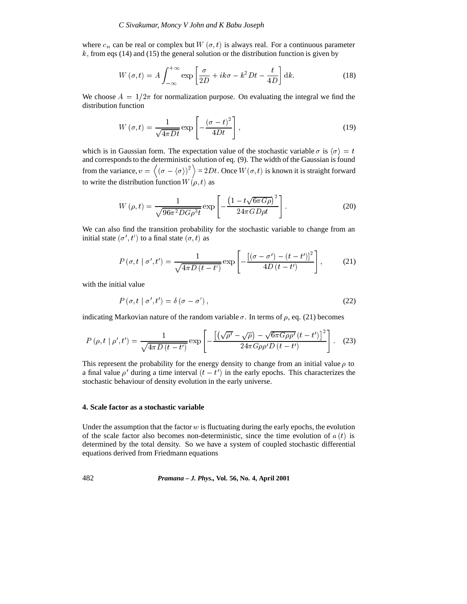where  $c_n$  can be real or complex but  $W(\sigma, t)$  is always real. For a continuous parameter  $k$ , from eqs (14) and (15) the general solution or the distribution function is given by

$$
W\left(\sigma,t\right) = A \int_{-\infty}^{+\infty} \exp\left[\frac{\sigma}{2D} + ik\sigma - k^2 Dt - \frac{t}{4D}\right] \mathrm{d}k. \tag{18}
$$

We choose  $A = 1/2\pi$  for normalization purpose. On evaluating the integral we find the distribution function

$$
W\left(\sigma,t\right) = \frac{1}{\sqrt{4\pi Dt}} \exp\left[-\frac{\left(\sigma - t\right)^2}{4Dt}\right],\tag{19}
$$

which is in Gaussian form. The expectation value of the stochastic variable  $\sigma$  is  $\langle \sigma \rangle = t$ and corresponds to the deterministic solution of eq. (9). The width of the Gaussian is found from the variance,  $v = \langle (\sigma - \langle \sigma \rangle)^2 \rangle = 2Dt$ . Once  $W(\sigma, t)$  is known it is straight forward to write the distribution function  $W(\rho, t)$  as

$$
W(\rho, t) = \frac{1}{\sqrt{96\pi^2 D G \rho^3 t}} \exp\left[ -\frac{\left(1 - t\sqrt{6\pi G \rho}\right)^2}{24\pi G D \rho t} \right].
$$
 (20)

We can also find the transition probability for the stochastic variable to change from an initial state  $(\sigma', t')$  to a final state  $(\sigma, t)$  as

$$
P\left(\sigma, t \mid \sigma', t'\right) = \frac{1}{\sqrt{4\pi D\left(t - t'\right)}} \exp\left[-\frac{\left[\left(\sigma - \sigma'\right) - \left(t - t'\right)\right]^2}{4D\left(t - t'\right)}\right],\tag{21}
$$

with the initial value

$$
P(\sigma, t | \sigma', t') = \delta(\sigma - \sigma'), \qquad (22)
$$

indicating Markovian nature of the random variable  $\sigma$ . In terms of  $\rho$ , eq. (21) becomes

$$
P\left(\rho, t \mid \rho', t'\right) = \frac{1}{\sqrt{4\pi D\left(t - t'\right)}} \exp\left[-\frac{\left[\left(\sqrt{\rho'} - \sqrt{\rho}\right) - \sqrt{6\pi G\rho\rho'}\left(t - t'\right)\right]^2}{24\pi G\rho\rho'D\left(t - t'\right)}\right].\tag{23}
$$

This represent the probability for the energy density to change from an initial value  $\rho$  to a final value  $\rho'$  during a time interval  $(t - t')$  in the early epochs. This characterizes the stochastic behaviour of density evolution in the early universe.

## **4. Scale factor as a stochastic variable**

Under the assumption that the factor  $w$  is fluctuating during the early epochs, the evolution of the scale factor also becomes non-deterministic, since the time evolution of  $a(t)$  is determined by the total density. So we have a system of coupled stochastic differential equations derived from Friedmann equations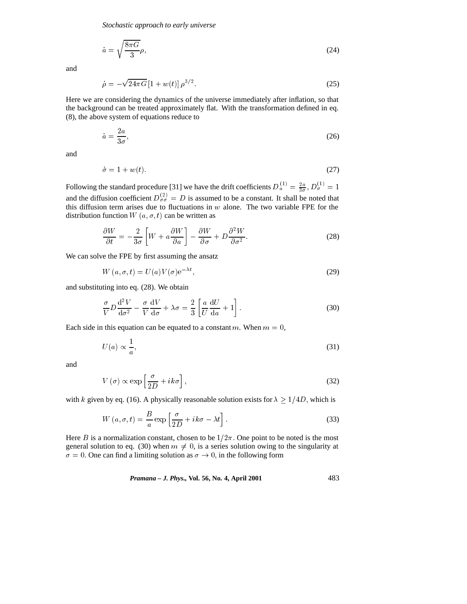$$
\dot{a} = \sqrt{\frac{8\pi G}{3}}\rho,\tag{24}
$$

and

$$
\dot{\rho} = -\sqrt{24\pi G} \left[ 1 + w(t) \right] \rho^{3/2}.
$$
\n(25)

Here we are considering the dynamics of the universe immediately after inflation, so that the background can be treated approximately flat. With the transformation defined in eq. (8), the above system of equations reduce to

$$
\dot{a} = \frac{2a}{3\sigma},\tag{26}
$$

and

$$
\dot{\sigma} = 1 + w(t). \tag{27}
$$

Following the standard procedure [31] we have the drift coefficients  $D_a^{\{1\}} = \frac{2a}{3\sigma}$ ,  $D_{\sigma}^{\{1\}} = 1$ and the diffusion coefficient  $D_{\sigma\sigma}^{(2)} = D$  is assumed to be a constant. It shall be noted that this diffusion term arises due to fluctuations in  $w$  alone. The two variable FPE for the distribution function  $W(a, \sigma, t)$  can be written as

$$
\frac{\partial W}{\partial t} = -\frac{2}{3\sigma} \left[ W + a \frac{\partial W}{\partial a} \right] - \frac{\partial W}{\partial \sigma} + D \frac{\partial^2 W}{\partial \sigma^2}.
$$
 (28)

We can solve the FPE by first assuming the ansatz

$$
W\left(a,\sigma,t\right) = U(a)V(\sigma)e^{-\lambda t},\tag{29}
$$

and substituting into eq. (28). We obtain

$$
\frac{\sigma}{V}D\frac{\mathrm{d}^2V}{\mathrm{d}\sigma^2} - \frac{\sigma}{V}\frac{\mathrm{d}V}{\mathrm{d}\sigma} + \lambda\sigma = \frac{2}{3}\left[\frac{a}{U}\frac{\mathrm{d}U}{\mathrm{d}a} + 1\right].\tag{30}
$$

Each side in this equation can be equated to a constant m. When  $m = 0$ ,

$$
U(a) \propto \frac{1}{a},\tag{31}
$$

and

$$
V\left(\sigma\right) \propto \exp\left[\frac{\sigma}{2D} + ik\sigma\right],\tag{32}
$$

with k given by eq. (16). A physically reasonable solution exists for  $\lambda \geq 1/4D$ , which is

$$
W\left(a,\sigma,t\right) = \frac{B}{a} \exp\left[\frac{\sigma}{2D} + ik\sigma - \lambda t\right].
$$
\n(33)

Here B is a normalization constant, chosen to be  $1/2\pi$ . One point to be noted is the most general solution to eq. (30) when  $m \neq 0$ , is a series solution owing to the singularity at  $\sigma = 0$ . One can find a limiting solution as  $\sigma \to 0$ , in the following form

*Pramana – J. Phys.,* **Vol. 56, No. 4, April 2001** 483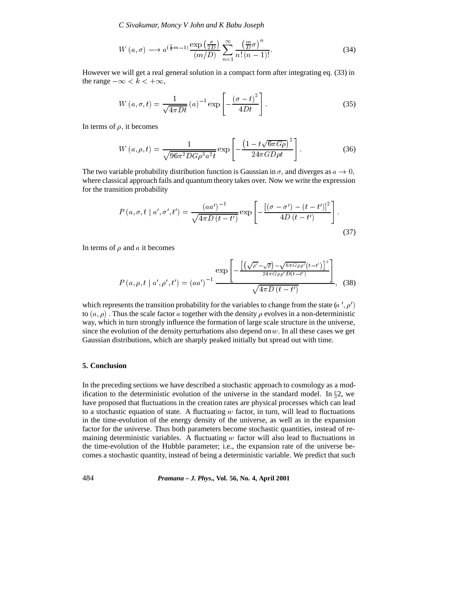*C Sivakumar, Moncy V John and K Babu Joseph*

$$
W\left(a,\sigma\right) \longrightarrow a^{\left(\frac{2}{3}m-1\right)} \frac{\exp\left(\frac{\sigma}{2D}\right)}{\left(m/D\right)} \sum_{n=1}^{\infty} \frac{\left(\frac{m}{D}\sigma\right)^n}{n!\left(n-1\right)!}.\tag{34}
$$

However we will get a real general solution in a compact form after integrating eq. (33) in the range  $-\infty < k < +\infty$ ,

$$
W\left(a,\sigma,t\right) = \frac{1}{\sqrt{4\pi Dt}}\left(a\right)^{-1} \exp\left[-\frac{\left(\sigma - t\right)^2}{4Dt}\right].\tag{35}
$$

In terms of  $\rho$ , it becomes

$$
W\left(a,\rho,t\right) = \frac{1}{\sqrt{96\pi^2 D G \rho^3 a^2 t}} \exp\left[-\frac{\left(1 - t\sqrt{6\pi G \rho}\right)^2}{24\pi G D \rho t}\right].
$$
 (36)

The two variable probability distribution function is Gaussian in  $\sigma$ , and diverges as  $a \to 0$ , where classical approach fails and quantum theory takes over. Now we write the expression for the transition probability

$$
P(a, \sigma, t \mid a', \sigma', t') = \frac{(aa')^{-1}}{\sqrt{4\pi D(t - t')}} \exp\left[-\frac{[(\sigma - \sigma') - (t - t')]^{2}}{4D(t - t')}\right].
$$
\n(37)

In terms of  $\rho$  and  $\alpha$  it becomes

$$
P\left(a,\rho,t\mid a',\rho',t'\right) = \left(aa'\right)^{-1} \frac{\exp\left[-\frac{\left[\left(\sqrt{\rho'}-\sqrt{\rho}\right)-\sqrt{6\pi G\rho\rho'}(t-t')\right]^2}{24\pi G\rho\rho'D(t-t')}\right]}{\sqrt{4\pi D\left(t-t'\right)}},\quad(38)
$$

which represents the transition probability for the variables to change from the state  $(a', \rho')$ to  $(a, \rho)$ . Thus the scale factor a together with the density  $\rho$  evolves in a non-deterministic way, which in turn strongly influence the formation of large scale structure in the universe, since the evolution of the density perturbations also depend on  $w$ . In all these cases we get Gaussian distributions, which are sharply peaked initially but spread out with time.

## **5. Conclusion**

In the preceding sections we have described a stochastic approach to cosmology as a modification to the deterministic evolution of the universe in the standard model. In  $\S$ 2, we have proposed that fluctuations in the creation rates are physical processes which can lead to a stochastic equation of state. A fluctuating  $w$  factor, in turn, will lead to fluctuations in the time-evolution of the energy density of the universe, as well as in the expansion factor for the universe. Thus both parameters become stochastic quantities, instead of remaining deterministic variables. A fluctuating  $w$  factor will also lead to fluctuations in the time-evolution of the Hubble parameter; i.e., the expansion rate of the universe becomes a stochastic quantity, instead of being a deterministic variable. We predict that such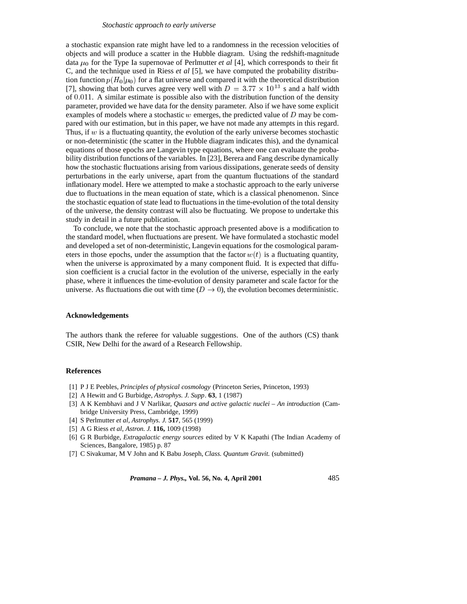a stochastic expansion rate might have led to a randomness in the recession velocities of objects and will produce a scatter in the Hubble diagram. Using the redshift-magnitude data  $\mu_0$  for the Type Ia supernovae of Perlmutter *et al* [4], which corresponds to their fit C, and the technique used in Riess *et al* [5], we have computed the probability distribution function  $p(H_0|\mu_0)$  for a flat universe and compared it with the theoretical distribution [7], showing that both curves agree very well with  $D = 3.77 \times 10^{13}$  s and a half width of 0:011. A similar estimate is possible also with the distribution function of the density parameter, provided we have data for the density parameter. Also if we have some explicit examples of models where a stochastic  $w$  emerges, the predicted value of  $D$  may be compared with our estimation, but in this paper, we have not made any attempts in this regard. Thus, if  $w$  is a fluctuating quantity, the evolution of the early universe becomes stochastic or non-deterministic (the scatter in the Hubble diagram indicates this), and the dynamical equations of those epochs are Langevin type equations, where one can evaluate the probability distribution functions of the variables. In [23], Berera and Fang describe dynamically how the stochastic fluctuations arising from various dissipations, generate seeds of density perturbations in the early universe, apart from the quantum fluctuations of the standard inflationary model. Here we attempted to make a stochastic approach to the early universe due to fluctuations in the mean equation of state, which is a classical phenomenon. Since the stochastic equation of state lead to fluctuations in the time-evolution of the total density of the universe, the density contrast will also be fluctuating. We propose to undertake this study in detail in a future publication.

To conclude, we note that the stochastic approach presented above is a modification to the standard model, when fluctuations are present. We have formulated a stochastic model and developed a set of non-deterministic, Langevin equations for the cosmological parameters in those epochs, under the assumption that the factor  $w(t)$  is a fluctuating quantity, when the universe is approximated by a many component fluid. It is expected that diffusion coefficient is a crucial factor in the evolution of the universe, especially in the early phase, where it influences the time-evolution of density parameter and scale factor for the universe. As fluctuations die out with time  $(D \to 0)$ , the evolution becomes deterministic.

#### **Acknowledgements**

The authors thank the referee for valuable suggestions. One of the authors (CS) thank CSIR, New Delhi for the award of a Research Fellowship.

### **References**

- [1] P J E Peebles, *Principles of physical cosmology* (Princeton Series, Princeton, 1993)
- [2] A Hewitt and G Burbidge, *Astrophys. J. Supp*. **63**, 1 (1987)
- [3] A K Kembhavi and J V Narlikar, *Quasars and active galactic nuclei An introduction* (Cambridge University Press, Cambridge, 1999)
- [4] S Perlmutter *et al*, *Astrophys. J.* **517**, 565 (1999)
- [5] A G Riess *et al*, *Astron. J.* **116,** 1009 (1998)
- [6] G R Burbidge, *Extragalactic energy sources* edited by V K Kapathi (The Indian Academy of Sciences, Bangalore, 1985) p. 87
- [7] C Sivakumar, M V John and K Babu Joseph, *Class. Quantum Gravit.* (submitted)